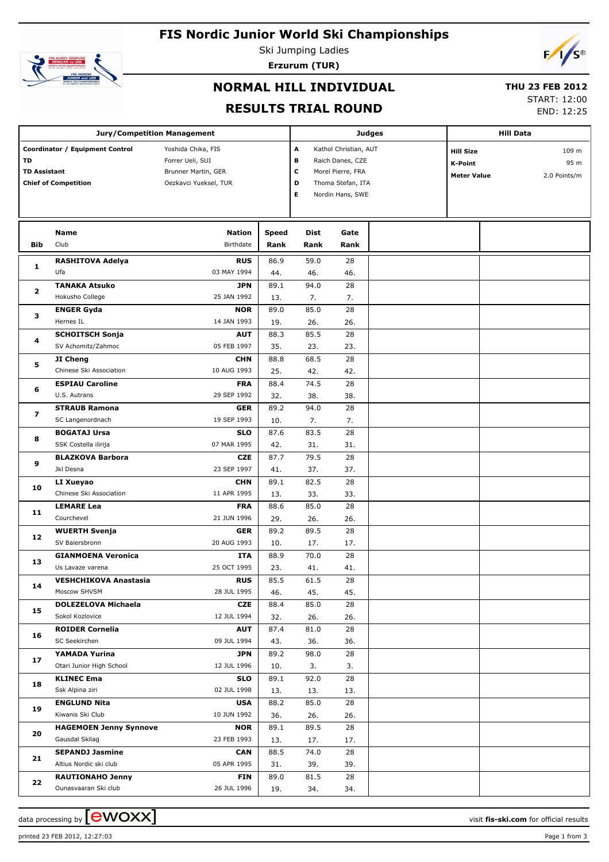# **FIS Nordic Junior World Ski Championships**



Ski Jumping Ladies **Erzurum (TUR)**



# **NORMAL HILL INDIVIDUAL**

#### **THU 23 FEB 2012**

### **RESULTS TRIAL ROUND**

START: 12:00

END: 12:25

|                         | <b>Jury/Competition Management</b>            |                                              |              |             |                                       | <b>Judges</b> |                    | <b>Hill Data</b> |              |
|-------------------------|-----------------------------------------------|----------------------------------------------|--------------|-------------|---------------------------------------|---------------|--------------------|------------------|--------------|
|                         |                                               |                                              |              |             |                                       |               |                    |                  |              |
|                         | Coordinator / Equipment Control               | Yoshida Chika, FIS                           |              | A           | Kathol Christian, AUT                 |               | <b>Hill Size</b>   |                  | 109 m        |
| TD                      |                                               | Forrer Ueli, SUI                             |              | в           | Raich Danes, CZE                      |               | <b>K-Point</b>     |                  | 95 m         |
| <b>TD Assistant</b>     |                                               | Brunner Martin, GER<br>Oezkavci Yueksel, TUR |              | c<br>D      | Morel Pierre, FRA                     |               | <b>Meter Value</b> |                  | 2.0 Points/m |
|                         | <b>Chief of Competition</b>                   |                                              |              | Е           | Thoma Stefan, ITA<br>Nordin Hans, SWE |               |                    |                  |              |
|                         |                                               |                                              |              |             |                                       |               |                    |                  |              |
|                         |                                               |                                              |              |             |                                       |               |                    |                  |              |
|                         | Name                                          | Nation                                       | <b>Speed</b> | Dist        | Gate                                  |               |                    |                  |              |
| Bib                     | Club                                          | Birthdate                                    | Rank         | Rank        | Rank                                  |               |                    |                  |              |
|                         |                                               |                                              |              |             |                                       |               |                    |                  |              |
| 1                       | <b>RASHITOVA Adelya</b><br>Ufa                | <b>RUS</b><br>03 MAY 1994                    | 86.9<br>44.  | 59.0<br>46. | 28<br>46.                             |               |                    |                  |              |
|                         | <b>TANAKA Atsuko</b>                          | <b>JPN</b>                                   | 89.1         | 94.0        | 28                                    |               |                    |                  |              |
| $\overline{\mathbf{2}}$ | Hokusho College                               | 25 JAN 1992                                  | 13.          | 7.          | 7.                                    |               |                    |                  |              |
|                         | <b>ENGER Gyda</b>                             | <b>NOR</b>                                   | 89.0         | 85.0        | 28                                    |               |                    |                  |              |
| з                       | Hernes IL                                     | 14 JAN 1993                                  | 19.          | 26.         | 26.                                   |               |                    |                  |              |
|                         | <b>SCHOITSCH Sonja</b>                        | <b>AUT</b>                                   | 88.3         | 85.5        | 28                                    |               |                    |                  |              |
| 4                       | SV Achomitz/Zahmoc                            | 05 FEB 1997                                  | 35.          | 23.         | 23.                                   |               |                    |                  |              |
|                         | JI Cheng                                      | <b>CHN</b>                                   | 88.8         | 68.5        | 28                                    |               |                    |                  |              |
| 5                       | Chinese Ski Association                       | 10 AUG 1993                                  | 25.          | 42.         | 42.                                   |               |                    |                  |              |
|                         | <b>ESPIAU Caroline</b>                        | <b>FRA</b>                                   | 88.4         | 74.5        | 28                                    |               |                    |                  |              |
| 6                       | U.S. Autrans                                  | 29 SEP 1992                                  | 32.          | 38.         | 38.                                   |               |                    |                  |              |
|                         | <b>STRAUB Ramona</b>                          | <b>GER</b>                                   | 89.2         | 94.0        | 28                                    |               |                    |                  |              |
| 7<br>8                  | SC Langenordnach                              | 19 SEP 1993                                  | 10.          | 7.          | 7.                                    |               |                    |                  |              |
|                         | <b>BOGATAJ Ursa</b>                           | <b>SLO</b>                                   | 87.6         | 83.5        | 28                                    |               |                    |                  |              |
|                         | SSK Costella ilirija                          | 07 MAR 1995                                  | 42.          | 31.         | 31.                                   |               |                    |                  |              |
| 9                       | <b>BLAZKOVA Barbora</b>                       | <b>CZE</b>                                   | 87.7         | 79.5        | 28                                    |               |                    |                  |              |
|                         | Jkl Desna                                     | 23 SEP 1997                                  | 41.          | 37.         | 37.                                   |               |                    |                  |              |
| 10                      | LI Xueyao                                     | <b>CHN</b>                                   | 89.1         | 82.5        | 28                                    |               |                    |                  |              |
|                         | Chinese Ski Association                       | 11 APR 1995                                  | 13.          | 33.         | 33.                                   |               |                    |                  |              |
| 11                      | <b>LEMARE Lea</b>                             | <b>FRA</b>                                   | 88.6         | 85.0        | 28                                    |               |                    |                  |              |
|                         | Courchevel                                    | 21 JUN 1996                                  | 29.          | 26.         | 26.                                   |               |                    |                  |              |
| 12                      | <b>WUERTH Svenja</b>                          | <b>GER</b>                                   | 89.2         | 89.5        | 28                                    |               |                    |                  |              |
|                         | SV Baiersbronn                                | 20 AUG 1993                                  | 10.          | 17.         | 17.                                   |               |                    |                  |              |
| 13                      | <b>GIANMOENA Veronica</b>                     | ITA                                          | 88.9         | 70.0        | 28                                    |               |                    |                  |              |
|                         | Us Lavaze varena                              | 25 OCT 1995                                  | 23.          | 41.         | 41.                                   |               |                    |                  |              |
| 14                      | <b>VESHCHIKOVA Anastasia</b>                  | <b>RUS</b>                                   | 85.5         | 61.5        | 28                                    |               |                    |                  |              |
|                         | Moscow SHVSM                                  | 28 JUL 1995                                  | 46.          | 45.         | 45.                                   |               |                    |                  |              |
| 15                      | <b>DOLEZELOVA Michaela</b><br>Sokol Kozlovice | CZE<br>12 JUL 1994                           | 88.4<br>32.  | 85.0        | 28<br>26.                             |               |                    |                  |              |
|                         | <b>ROIDER Cornelia</b>                        | <b>AUT</b>                                   | 87.4         | 26.<br>81.0 | 28                                    |               |                    |                  |              |
| 16                      | SC Seekirchen                                 | 09 JUL 1994                                  | 43.          | 36.         | 36.                                   |               |                    |                  |              |
|                         | YAMADA Yurina                                 | <b>JPN</b>                                   | 89.2         | 98.0        | 28                                    |               |                    |                  |              |
| 17                      | Otari Junior High School                      | 12 JUL 1996                                  | 10.          | 3.          | 3.                                    |               |                    |                  |              |
|                         | <b>KLINEC Ema</b>                             | <b>SLO</b>                                   | 89.1         | 92.0        | 28                                    |               |                    |                  |              |
| 18                      | Ssk Alpina ziri                               | 02 JUL 1998                                  | 13.          | 13.         | 13.                                   |               |                    |                  |              |
|                         | <b>ENGLUND Nita</b>                           | <b>USA</b>                                   | 88.2         | 85.0        | 28                                    |               |                    |                  |              |
| 19                      | Kiwanis Ski Club                              | 10 JUN 1992                                  | 36.          | 26.         | 26.                                   |               |                    |                  |              |
|                         | <b>HAGEMOEN Jenny Synnove</b>                 | <b>NOR</b>                                   | 89.1         | 89.5        | 28                                    |               |                    |                  |              |
| 20                      | Gausdal Skilag                                | 23 FEB 1993                                  | 13.          | 17.         | 17.                                   |               |                    |                  |              |
|                         | <b>SEPANDJ Jasmine</b>                        | <b>CAN</b>                                   | 88.5         | 74.0        | 28                                    |               |                    |                  |              |
| 21                      | Altius Nordic ski club                        | 05 APR 1995                                  | 31.          | 39.         | 39.                                   |               |                    |                  |              |
|                         | <b>RAUTIONAHO Jenny</b>                       | <b>FIN</b>                                   | 89.0         | 81.5        | 28                                    |               |                    |                  |              |
| 22                      | Ounasvaaran Ski club                          | 26 JUL 1996                                  | 19.          | 34.         | 34.                                   |               |                    |                  |              |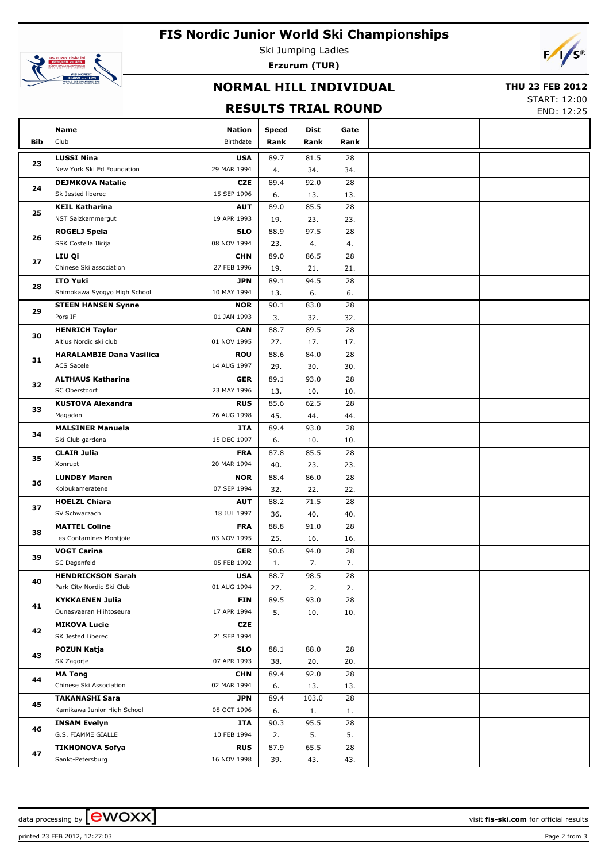



Ski Jumping Ladies **Erzurum (TUR)**



# **NORMAL HILL INDIVIDUAL**

#### **THU 23 FEB 2012**

### **RESULTS TRIAL ROUND**

START: 12:00 END: 12:25

|     | Name                            | <b>Nation</b> | <b>Speed</b> | Dist        | Gate            |  |
|-----|---------------------------------|---------------|--------------|-------------|-----------------|--|
| Bib | Club                            | Birthdate     | Rank         | Rank        | Rank            |  |
|     | <b>LUSSI Nina</b>               | <b>USA</b>    | 89.7         | 81.5        | 28              |  |
| 23  | New York Ski Ed Foundation      | 29 MAR 1994   | 4.           | 34.         | 34.             |  |
|     | <b>DEJMKOVA Natalie</b>         | CZE           | 89.4         | 92.0        | 28              |  |
| 24  | Sk Jested liberec               | 15 SEP 1996   | 6.           | 13.         | 13.             |  |
|     | <b>KEIL Katharina</b>           | <b>AUT</b>    | 89.0         | 85.5        | 28              |  |
| 25  | NST Salzkammergut               | 19 APR 1993   | 19.          | 23.         | 23.             |  |
|     | <b>ROGELJ Spela</b>             | <b>SLO</b>    | 88.9         | 97.5        | 28              |  |
| 26  | SSK Costella Ilirija            | 08 NOV 1994   | 23.          | 4.          | 4.              |  |
|     |                                 | <b>CHN</b>    |              | 86.5        | 28              |  |
| 27  | LIU Qi                          |               | 89.0         |             |                 |  |
|     | Chinese Ski association         | 27 FEB 1996   | 19.          | 21.         | 21.             |  |
| 28  | <b>ITO Yuki</b>                 | <b>JPN</b>    | 89.1         | 94.5        | 28              |  |
|     | Shimokawa Syogyo High School    | 10 MAY 1994   | 13.          | 6.          | 6.              |  |
| 29  | <b>STEEN HANSEN Synne</b>       | <b>NOR</b>    | 90.1         | 83.0        | 28              |  |
|     | Pors IF                         | 01 JAN 1993   | 3.           | 32.         | 32.             |  |
| 30  | <b>HENRICH Taylor</b>           | <b>CAN</b>    | 88.7         | 89.5        | 28              |  |
|     | Altius Nordic ski club          | 01 NOV 1995   | 27.          | 17.         | 17.             |  |
| 31  | <b>HARALAMBIE Dana Vasilica</b> | <b>ROU</b>    | 88.6         | 84.0        | 28              |  |
|     | <b>ACS Sacele</b>               | 14 AUG 1997   | 29.          | 30.         | 30.             |  |
|     | <b>ALTHAUS Katharina</b>        | <b>GER</b>    | 89.1         | 93.0        | 28              |  |
| 32  | SC Oberstdorf                   | 23 MAY 1996   | 13.          | 10.         | 10.             |  |
|     | <b>KUSTOVA Alexandra</b>        | <b>RUS</b>    | 85.6         | 62.5        | 28              |  |
| 33  | Magadan                         | 26 AUG 1998   | 45.          | 44.         | 44.             |  |
|     | <b>MALSINER Manuela</b>         | ITA           | 89.4         | 93.0        | 28              |  |
| 34  | Ski Club gardena                | 15 DEC 1997   | 6.           | 10.         | 10.             |  |
|     | <b>CLAIR Julia</b>              | <b>FRA</b>    | 87.8         | 85.5        | 28              |  |
| 35  | Xonrupt                         | 20 MAR 1994   | 40.          | 23.         | 23.             |  |
|     | <b>LUNDBY Maren</b>             | <b>NOR</b>    | 88.4         | 86.0        | 28              |  |
| 36  | Kolbukameratene                 | 07 SEP 1994   | 32.          | 22.         | 22.             |  |
|     | <b>HOELZL Chiara</b>            | <b>AUT</b>    | 88.2         | 71.5        | 28              |  |
| 37  | SV Schwarzach                   | 18 JUL 1997   | 36.          | 40.         | 40.             |  |
|     | <b>MATTEL Coline</b>            | <b>FRA</b>    | 88.8         | 91.0        | 28              |  |
| 38  | Les Contamines Montjoie         | 03 NOV 1995   | 25.          |             | 16.             |  |
|     | <b>VOGT Carina</b>              |               |              | 16.<br>94.0 | 28              |  |
| 39  |                                 | <b>GER</b>    | 90.6         |             |                 |  |
|     | SC Degenfeld                    | 05 FEB 1992   | 1.           | 7.          | 7.              |  |
| 40  | <b>HENDRICKSON Sarah</b>        | <b>USA</b>    | 88.7         | 98.5        | $\overline{28}$ |  |
|     | Park City Nordic Ski Club       | 01 AUG 1994   | 27.          | 2.          | 2.              |  |
| 41  | <b>KYKKAENEN Julia</b>          | <b>FIN</b>    | 89.5         | 93.0        | 28              |  |
|     | Ounasvaaran Hiihtoseura         | 17 APR 1994   | 5.           | 10.         | 10.             |  |
| 42  | <b>MIKOVA Lucie</b>             | CZE           |              |             |                 |  |
|     | SK Jested Liberec               | 21 SEP 1994   |              |             |                 |  |
| 43  | POZUN Katja                     | <b>SLO</b>    | 88.1         | 88.0        | 28              |  |
|     | SK Zagorje                      | 07 APR 1993   | 38.          | 20.         | 20.             |  |
| 44  | <b>MA Tong</b>                  | <b>CHN</b>    | 89.4         | 92.0        | 28              |  |
|     | Chinese Ski Association         | 02 MAR 1994   | 6.           | 13.         | 13.             |  |
|     | <b>TAKANASHI Sara</b>           | <b>JPN</b>    | 89.4         | 103.0       | 28              |  |
| 45  | Kamikawa Junior High School     | 08 OCT 1996   | 6.           | 1.          | 1.              |  |
|     | <b>INSAM Evelyn</b>             | ITA           | 90.3         | 95.5        | 28              |  |
| 46  | G.S. FIAMME GIALLE              | 10 FEB 1994   | 2.           | 5.          | 5.              |  |
| 47  | <b>TIKHONOVA Sofya</b>          | <b>RUS</b>    | 87.9         | 65.5        | 28              |  |
|     | Sankt-Petersburg                | 16 NOV 1998   | 39.          | 43.         | 43.             |  |